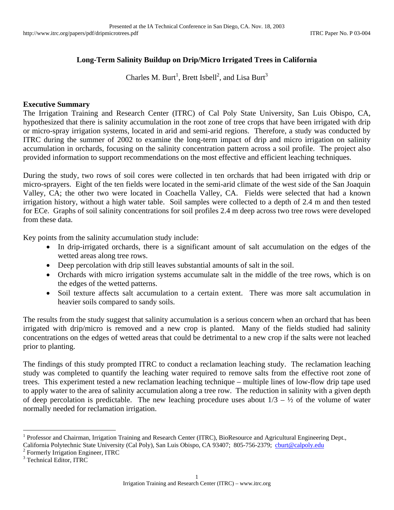# **Long-Term Salinity Buildup on Drip/Micro Irrigated Trees in California**

Charles M. Burt<sup>1</sup>, Brett Isbell<sup>2</sup>, and Lisa Burt<sup>3</sup>

### **Executive Summary**

The Irrigation Training and Research Center (ITRC) of Cal Poly State University, San Luis Obispo, CA, hypothesized that there is salinity accumulation in the root zone of tree crops that have been irrigated with drip or micro-spray irrigation systems, located in arid and semi-arid regions. Therefore, a study was conducted by ITRC during the summer of 2002 to examine the long-term impact of drip and micro irrigation on salinity accumulation in orchards, focusing on the salinity concentration pattern across a soil profile. The project also provided information to support recommendations on the most effective and efficient leaching techniques.

During the study, two rows of soil cores were collected in ten orchards that had been irrigated with drip or micro-sprayers. Eight of the ten fields were located in the semi-arid climate of the west side of the San Joaquin Valley, CA; the other two were located in Coachella Valley, CA. Fields were selected that had a known irrigation history, without a high water table. Soil samples were collected to a depth of 2.4 m and then tested for ECe. Graphs of soil salinity concentrations for soil profiles 2.4 m deep across two tree rows were developed from these data.

Key points from the salinity accumulation study include:

- In drip-irrigated orchards, there is a significant amount of salt accumulation on the edges of the wetted areas along tree rows.
- Deep percolation with drip still leaves substantial amounts of salt in the soil.
- Orchards with micro irrigation systems accumulate salt in the middle of the tree rows, which is on the edges of the wetted patterns.
- Soil texture affects salt accumulation to a certain extent. There was more salt accumulation in heavier soils compared to sandy soils.

The results from the study suggest that salinity accumulation is a serious concern when an orchard that has been irrigated with drip/micro is removed and a new crop is planted. Many of the fields studied had salinity concentrations on the edges of wetted areas that could be detrimental to a new crop if the salts were not leached prior to planting.

The findings of this study prompted ITRC to conduct a reclamation leaching study. The reclamation leaching study was completed to quantify the leaching water required to remove salts from the effective root zone of trees. This experiment tested a new reclamation leaching technique – multiple lines of low-flow drip tape used to apply water to the area of salinity accumulation along a tree row. The reduction in salinity with a given depth of deep percolation is predictable. The new leaching procedure uses about  $1/3 - \frac{1}{2}$  of the volume of water normally needed for reclamation irrigation.

<u>.</u>

<sup>1</sup> Professor and Chairman, Irrigation Training and Research Center (ITRC), BioResource and Agricultural Engineering Dept.,

California Polytechnic State University (Cal Poly), San Luis Obispo, CA 93407; 805-756-2379; cburt@calpoly.edu <sup>2</sup>

 $2$  Formerly Irrigation Engineer, ITRC

<sup>&</sup>lt;sup>3</sup> Technical Editor, ITRC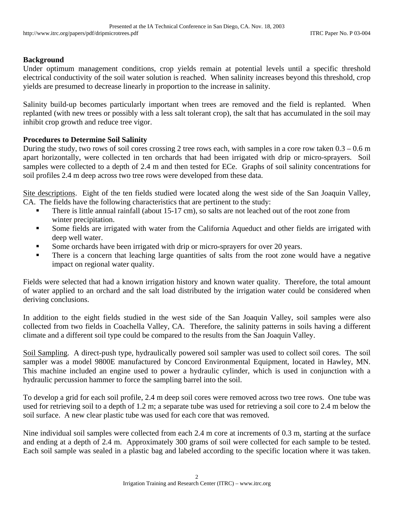## **Background**

Under optimum management conditions, crop yields remain at potential levels until a specific threshold electrical conductivity of the soil water solution is reached. When salinity increases beyond this threshold, crop yields are presumed to decrease linearly in proportion to the increase in salinity.

Salinity build-up becomes particularly important when trees are removed and the field is replanted. When replanted (with new trees or possibly with a less salt tolerant crop), the salt that has accumulated in the soil may inhibit crop growth and reduce tree vigor.

## **Procedures to Determine Soil Salinity**

During the study, two rows of soil cores crossing 2 tree rows each, with samples in a core row taken 0.3 – 0.6 m apart horizontally, were collected in ten orchards that had been irrigated with drip or micro-sprayers. Soil samples were collected to a depth of 2.4 m and then tested for ECe. Graphs of soil salinity concentrations for soil profiles 2.4 m deep across two tree rows were developed from these data.

Site descriptions. Eight of the ten fields studied were located along the west side of the San Joaquin Valley, CA. The fields have the following characteristics that are pertinent to the study:

- There is little annual rainfall (about 15-17 cm), so salts are not leached out of the root zone from winter precipitation.
- **Some fields are irrigated with water from the California Aqueduct and other fields are irrigated with** deep well water.
- Some orchards have been irrigated with drip or micro-sprayers for over 20 years.
- There is a concern that leaching large quantities of salts from the root zone would have a negative impact on regional water quality.

Fields were selected that had a known irrigation history and known water quality. Therefore, the total amount of water applied to an orchard and the salt load distributed by the irrigation water could be considered when deriving conclusions.

In addition to the eight fields studied in the west side of the San Joaquin Valley, soil samples were also collected from two fields in Coachella Valley, CA. Therefore, the salinity patterns in soils having a different climate and a different soil type could be compared to the results from the San Joaquin Valley.

Soil Sampling. A direct-push type, hydraulically powered soil sampler was used to collect soil cores. The soil sampler was a model 9800E manufactured by Concord Environmental Equipment, located in Hawley, MN. This machine included an engine used to power a hydraulic cylinder, which is used in conjunction with a hydraulic percussion hammer to force the sampling barrel into the soil.

To develop a grid for each soil profile, 2.4 m deep soil cores were removed across two tree rows. One tube was used for retrieving soil to a depth of 1.2 m; a separate tube was used for retrieving a soil core to 2.4 m below the soil surface. A new clear plastic tube was used for each core that was removed.

Nine individual soil samples were collected from each 2.4 m core at increments of 0.3 m, starting at the surface and ending at a depth of 2.4 m. Approximately 300 grams of soil were collected for each sample to be tested. Each soil sample was sealed in a plastic bag and labeled according to the specific location where it was taken.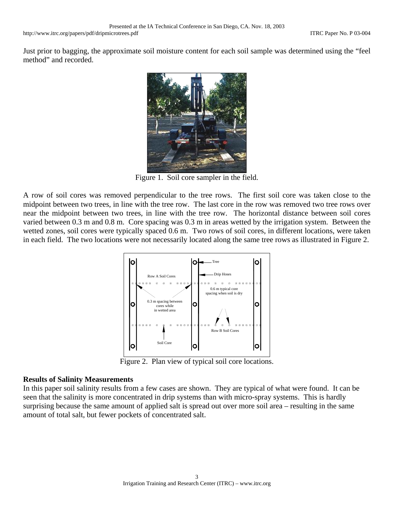Just prior to bagging, the approximate soil moisture content for each soil sample was determined using the "feel method" and recorded.



Figure 1. Soil core sampler in the field.

A row of soil cores was removed perpendicular to the tree rows. The first soil core was taken close to the midpoint between two trees, in line with the tree row. The last core in the row was removed two tree rows over near the midpoint between two trees, in line with the tree row. The horizontal distance between soil cores varied between 0.3 m and 0.8 m. Core spacing was 0.3 m in areas wetted by the irrigation system. Between the wetted zones, soil cores were typically spaced 0.6 m. Two rows of soil cores, in different locations, were taken in each field. The two locations were not necessarily located along the same tree rows as illustrated in Figure 2.



Figure 2. Plan view of typical soil core locations.

## **Results of Salinity Measurements**

In this paper soil salinity results from a few cases are shown. They are typical of what were found. It can be seen that the salinity is more concentrated in drip systems than with micro-spray systems. This is hardly surprising because the same amount of applied salt is spread out over more soil area – resulting in the same amount of total salt, but fewer pockets of concentrated salt.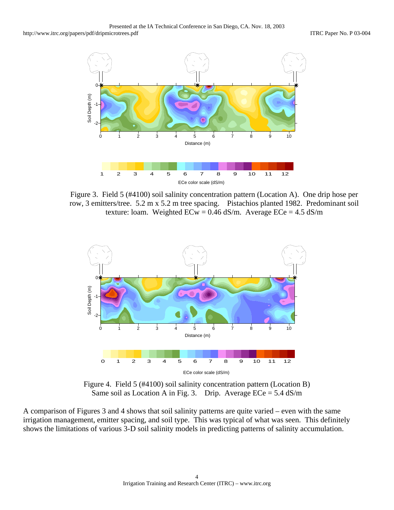

Figure 3. Field 5 (#4100) soil salinity concentration pattern (Location A). One drip hose per row, 3 emitters/tree. 5.2 m x 5.2 m tree spacing. Pistachios planted 1982. Predominant soil texture: loam. Weighted  $ECw = 0.46$  dS/m. Average  $ECe = 4.5$  dS/m



Figure 4. Field 5 (#4100) soil salinity concentration pattern (Location B) Same soil as Location A in Fig. 3. Drip. Average  $ECe = 5.4$  dS/m

A comparison of Figures 3 and 4 shows that soil salinity patterns are quite varied – even with the same irrigation management, emitter spacing, and soil type. This was typical of what was seen. This definitely shows the limitations of various 3-D soil salinity models in predicting patterns of salinity accumulation.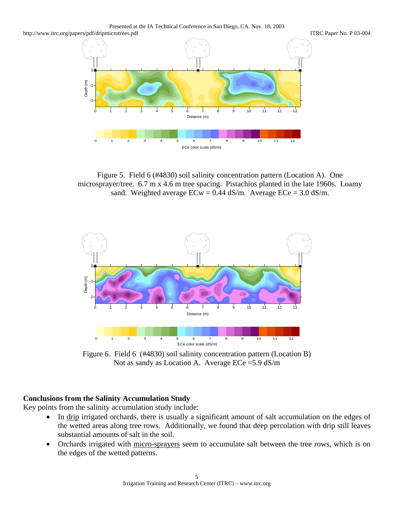Presented at the IA Technical Conference in San Diego, CA. Nov. 18, 2003



Figure 5. Field 6 (#4830) soil salinity concentration pattern (Location A). One microsprayer/tree. 6.7 m x 4.6 m tree spacing. Pistachios planted in the late 1960s. Loamy sand. Weighted average  $ECw = 0.44$  dS/m. Average  $ECe = 3.0$  dS/m.



Figure 6. Field 6 (#4830) soil salinity concentration pattern (Location B) Not as sandy as Location A. Average ECe =5.9 dS/m

# **Conclusions from the Salinity Accumulation Study**

Key points from the salinity accumulation study include:

- In drip irrigated orchards, there is usually a significant amount of salt accumulation on the edges of the wetted areas along tree rows. Additionally, we found that deep percolation with drip still leaves substantial amounts of salt in the soil.
- Orchards irrigated with micro-sprayers seem to accumulate salt between the tree rows, which is on the edges of the wetted patterns.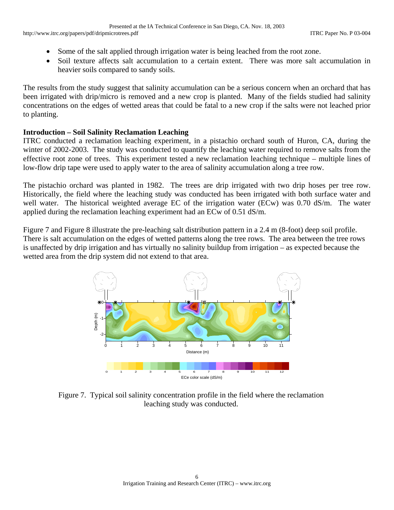- Some of the salt applied through irrigation water is being leached from the root zone.
- Soil texture affects salt accumulation to a certain extent. There was more salt accumulation in heavier soils compared to sandy soils.

The results from the study suggest that salinity accumulation can be a serious concern when an orchard that has been irrigated with drip/micro is removed and a new crop is planted. Many of the fields studied had salinity concentrations on the edges of wetted areas that could be fatal to a new crop if the salts were not leached prior to planting.

## **Introduction – Soil Salinity Reclamation Leaching**

ITRC conducted a reclamation leaching experiment, in a pistachio orchard south of Huron, CA, during the winter of 2002-2003. The study was conducted to quantify the leaching water required to remove salts from the effective root zone of trees. This experiment tested a new reclamation leaching technique – multiple lines of low-flow drip tape were used to apply water to the area of salinity accumulation along a tree row.

The pistachio orchard was planted in 1982. The trees are drip irrigated with two drip hoses per tree row. Historically, the field where the leaching study was conducted has been irrigated with both surface water and well water. The historical weighted average EC of the irrigation water (ECw) was 0.70 dS/m. The water applied during the reclamation leaching experiment had an ECw of 0.51 dS/m.

Figure 7 and Figure 8 illustrate the pre-leaching salt distribution pattern in a 2.4 m (8-foot) deep soil profile. There is salt accumulation on the edges of wetted patterns along the tree rows. The area between the tree rows is unaffected by drip irrigation and has virtually no salinity buildup from irrigation – as expected because the wetted area from the drip system did not extend to that area.



Figure 7. Typical soil salinity concentration profile in the field where the reclamation leaching study was conducted.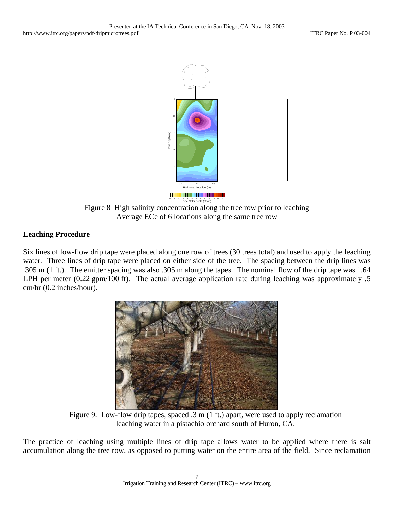

Figure 8 High salinity concentration along the tree row prior to leaching Average ECe of 6 locations along the same tree row

# **Leaching Procedure**

Six lines of low-flow drip tape were placed along one row of trees (30 trees total) and used to apply the leaching water. Three lines of drip tape were placed on either side of the tree. The spacing between the drip lines was .305 m (1 ft.). The emitter spacing was also .305 m along the tapes. The nominal flow of the drip tape was 1.64 LPH per meter (0.22 gpm/100 ft). The actual average application rate during leaching was approximately .5 cm/hr (0.2 inches/hour).



Figure 9. Low-flow drip tapes, spaced .3 m (1 ft.) apart, were used to apply reclamation leaching water in a pistachio orchard south of Huron, CA.

The practice of leaching using multiple lines of drip tape allows water to be applied where there is salt accumulation along the tree row, as opposed to putting water on the entire area of the field. Since reclamation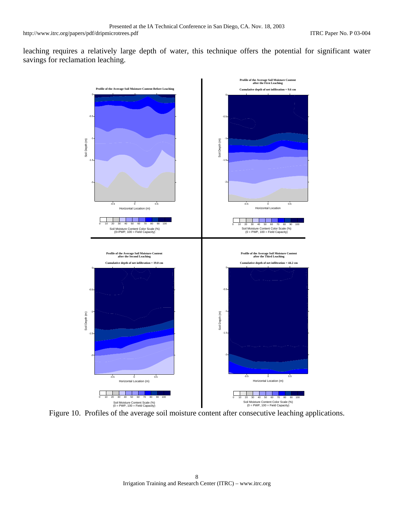leaching requires a relatively large depth of water, this technique offers the potential for significant water savings for reclamation leaching.



Figure 10. Profiles of the average soil moisture content after consecutive leaching applications.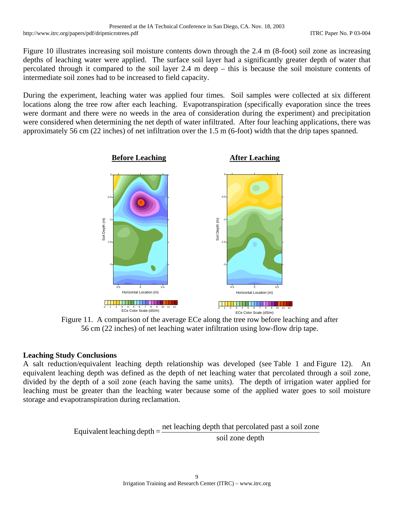Figure 10 illustrates increasing soil moisture contents down through the 2.4 m (8-foot) soil zone as increasing depths of leaching water were applied. The surface soil layer had a significantly greater depth of water that percolated through it compared to the soil layer 2.4 m deep – this is because the soil moisture contents of intermediate soil zones had to be increased to field capacity.

During the experiment, leaching water was applied four times. Soil samples were collected at six different locations along the tree row after each leaching. Evapotranspiration (specifically evaporation since the trees were dormant and there were no weeds in the area of consideration during the experiment) and precipitation were considered when determining the net depth of water infiltrated. After four leaching applications, there was approximately 56 cm (22 inches) of net infiltration over the 1.5 m (6-foot) width that the drip tapes spanned.



Figure 11. A comparison of the average ECe along the tree row before leaching and after 56 cm (22 inches) of net leaching water infiltration using low-flow drip tape.

## **Leaching Study Conclusions**

A salt reduction/equivalent leaching depth relationship was developed (see Table 1 and Figure 12). An equivalent leaching depth was defined as the depth of net leaching water that percolated through a soil zone, divided by the depth of a soil zone (each having the same units). The depth of irrigation water applied for leaching must be greater than the leaching water because some of the applied water goes to soil moisture storage and evapotranspiration during reclamation.

Equivalent leaching depth  $=$   $\frac{\text{net} \text{leaching} \text{ depth that percolated past a soil zone}}{\text{soil zone depth}}$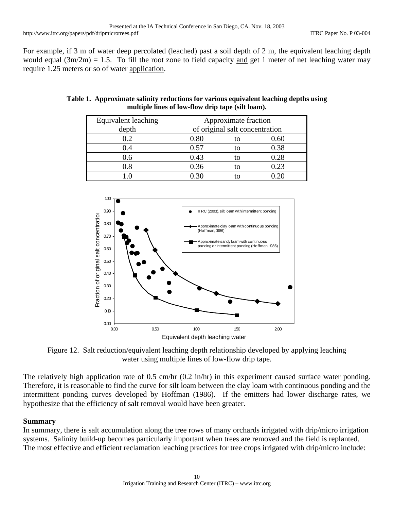For example, if 3 m of water deep percolated (leached) past a soil depth of 2 m, the equivalent leaching depth would equal  $(3m/2m) = 1.5$ . To fill the root zone to field capacity and get 1 meter of net leaching water may require 1.25 meters or so of water application.

| Equivalent leaching | Approximate fraction           |  |          |
|---------------------|--------------------------------|--|----------|
| depth               | of original salt concentration |  |          |
| $\Omega$ .          | $\rm 0.80$                     |  | $0.60\,$ |
|                     | 0.57                           |  | 0.38     |
| 0.6                 | 0.43                           |  | 0.28     |
| 9.8                 | 0.36                           |  | 0.23     |
|                     |                                |  |          |

| Table 1. Approximate salinity reductions for various equivalent leaching depths using |
|---------------------------------------------------------------------------------------|
| multiple lines of low-flow drip tape (silt loam).                                     |



Figure 12. Salt reduction/equivalent leaching depth relationship developed by applying leaching water using multiple lines of low-flow drip tape.

The relatively high application rate of 0.5 cm/hr (0.2 in/hr) in this experiment caused surface water ponding. Therefore, it is reasonable to find the curve for silt loam between the clay loam with continuous ponding and the intermittent ponding curves developed by Hoffman (1986). If the emitters had lower discharge rates, we hypothesize that the efficiency of salt removal would have been greater.

#### **Summary**

In summary, there is salt accumulation along the tree rows of many orchards irrigated with drip/micro irrigation systems. Salinity build-up becomes particularly important when trees are removed and the field is replanted. The most effective and efficient reclamation leaching practices for tree crops irrigated with drip/micro include: